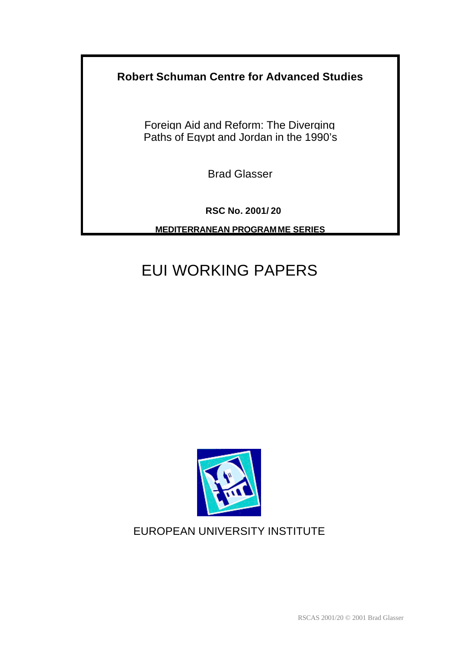# **Robert Schuman Centre for Advanced Studies**

Foreign Aid and Reform: The Diverging Paths of Egypt and Jordan in the 1990's

Brad Glasser

**RSC No. 2001/ 20**

**MEDITERRANEAN PROGRAMME SERIES**

# EUI WORKING PAPERS



# EUROPEAN UNIVERSITY INSTITUTE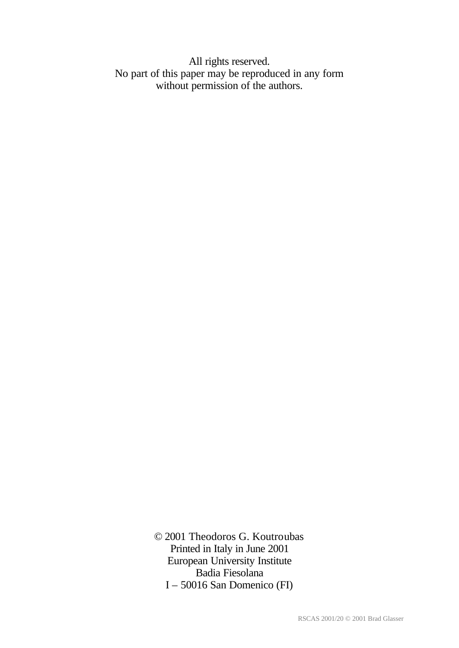All rights reserved. No part of this paper may be reproduced in any form without permission of the authors.

> © 2001 Theodoros G. Koutroubas Printed in Italy in June 2001 European University Institute Badia Fiesolana I – 50016 San Domenico (FI)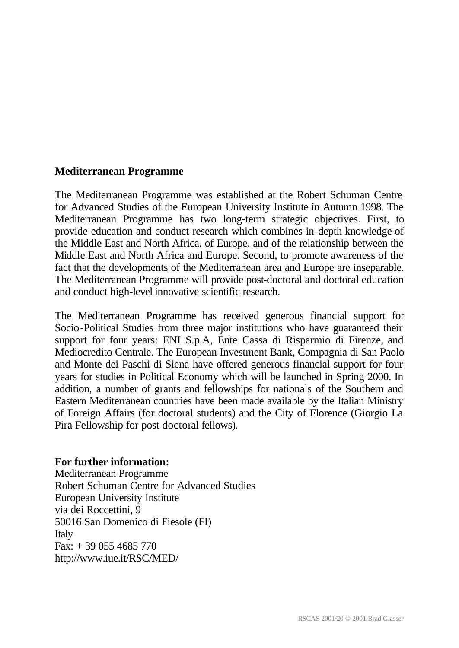# **Mediterranean Programme**

The Mediterranean Programme was established at the Robert Schuman Centre for Advanced Studies of the European University Institute in Autumn 1998. The Mediterranean Programme has two long-term strategic objectives. First, to provide education and conduct research which combines in-depth knowledge of the Middle East and North Africa, of Europe, and of the relationship between the Middle East and North Africa and Europe. Second, to promote awareness of the fact that the developments of the Mediterranean area and Europe are inseparable. The Mediterranean Programme will provide post-doctoral and doctoral education and conduct high-level innovative scientific research.

The Mediterranean Programme has received generous financial support for Socio-Political Studies from three major institutions who have guaranteed their support for four years: ENI S.p.A, Ente Cassa di Risparmio di Firenze, and Mediocredito Centrale. The European Investment Bank, Compagnia di San Paolo and Monte dei Paschi di Siena have offered generous financial support for four years for studies in Political Economy which will be launched in Spring 2000. In addition, a number of grants and fellowships for nationals of the Southern and Eastern Mediterranean countries have been made available by the Italian Ministry of Foreign Affairs (for doctoral students) and the City of Florence (Giorgio La Pira Fellowship for post-doctoral fellows).

# **For further information:**

Mediterranean Programme Robert Schuman Centre for Advanced Studies European University Institute via dei Roccettini, 9 50016 San Domenico di Fiesole (FI) Italy  $Fax: + 390554685770$ http://www.iue.it/RSC/MED/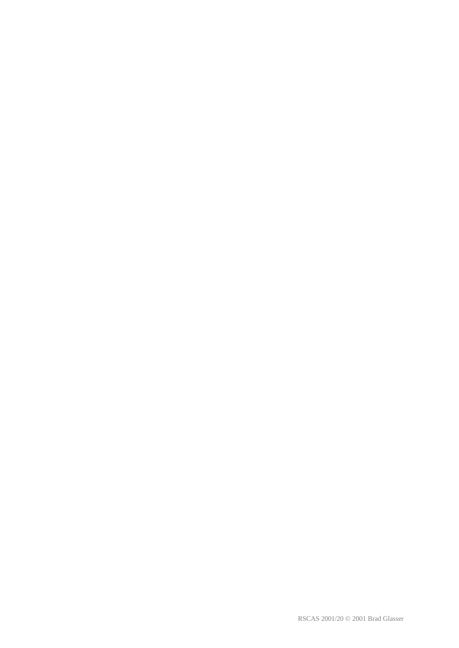RSCAS 2001/20 © 2001 Brad Glasser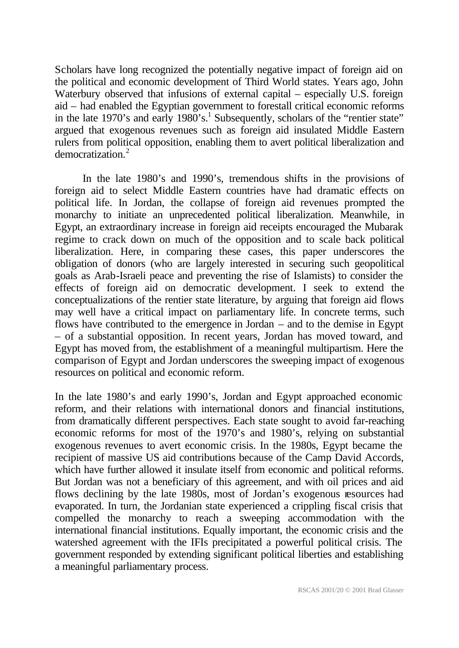Scholars have long recognized the potentially negative impact of foreign aid on the political and economic development of Third World states. Years ago, John Waterbury observed that infusions of external capital – especially U.S. foreign aid – had enabled the Egyptian government to forestall critical economic reforms in the late 1970's and early  $1980$ 's.<sup>1</sup> Subsequently, scholars of the "rentier state" argued that exogenous revenues such as foreign aid insulated Middle Eastern rulers from political opposition, enabling them to avert political liberalization and democratization.<sup>2</sup>

In the late 1980's and 1990's, tremendous shifts in the provisions of foreign aid to select Middle Eastern countries have had dramatic effects on political life. In Jordan, the collapse of foreign aid revenues prompted the monarchy to initiate an unprecedented political liberalization. Meanwhile, in Egypt, an extraordinary increase in foreign aid receipts encouraged the Mubarak regime to crack down on much of the opposition and to scale back political liberalization. Here, in comparing these cases, this paper underscores the obligation of donors (who are largely interested in securing such geopolitical goals as Arab-Israeli peace and preventing the rise of Islamists) to consider the effects of foreign aid on democratic development. I seek to extend the conceptualizations of the rentier state literature, by arguing that foreign aid flows may well have a critical impact on parliamentary life. In concrete terms, such flows have contributed to the emergence in Jordan – and to the demise in Egypt – of a substantial opposition. In recent years, Jordan has moved toward, and Egypt has moved from, the establishment of a meaningful multipartism. Here the comparison of Egypt and Jordan underscores the sweeping impact of exogenous resources on political and economic reform.

In the late 1980's and early 1990's, Jordan and Egypt approached economic reform, and their relations with international donors and financial institutions, from dramatically different perspectives. Each state sought to avoid far-reaching economic reforms for most of the 1970's and 1980's, relying on substantial exogenous revenues to avert economic crisis. In the 1980s, Egypt became the recipient of massive US aid contributions because of the Camp David Accords, which have further allowed it insulate itself from economic and political reforms. But Jordan was not a beneficiary of this agreement, and with oil prices and aid flows declining by the late 1980s, most of Jordan's exogenous resources had evaporated. In turn, the Jordanian state experienced a crippling fiscal crisis that compelled the monarchy to reach a sweeping accommodation with the international financial institutions. Equally important, the economic crisis and the watershed agreement with the IFIs precipitated a powerful political crisis. The government responded by extending significant political liberties and establishing a meaningful parliamentary process.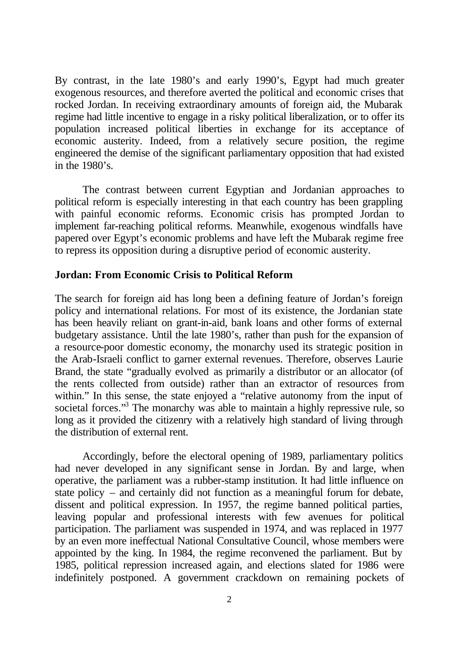By contrast, in the late 1980's and early 1990's, Egypt had much greater exogenous resources, and therefore averted the political and economic crises that rocked Jordan. In receiving extraordinary amounts of foreign aid, the Mubarak regime had little incentive to engage in a risky political liberalization, or to offer its population increased political liberties in exchange for its acceptance of economic austerity. Indeed, from a relatively secure position, the regime engineered the demise of the significant parliamentary opposition that had existed in the 1980's.

The contrast between current Egyptian and Jordanian approaches to political reform is especially interesting in that each country has been grappling with painful economic reforms. Economic crisis has prompted Jordan to implement far-reaching political reforms. Meanwhile, exogenous windfalls have papered over Egypt's economic problems and have left the Mubarak regime free to repress its opposition during a disruptive period of economic austerity.

# **Jordan: From Economic Crisis to Political Reform**

The search for foreign aid has long been a defining feature of Jordan's foreign policy and international relations. For most of its existence, the Jordanian state has been heavily reliant on grant-in-aid, bank loans and other forms of external budgetary assistance. Until the late 1980's, rather than push for the expansion of a resource-poor domestic economy, the monarchy used its strategic position in the Arab-Israeli conflict to garner external revenues. Therefore, observes Laurie Brand, the state "gradually evolved as primarily a distributor or an allocator (of the rents collected from outside) rather than an extractor of resources from within." In this sense, the state enjoyed a "relative autonomy from the input of societal forces."<sup>3</sup> The monarchy was able to maintain a highly repressive rule, so long as it provided the citizenry with a relatively high standard of living through the distribution of external rent.

Accordingly, before the electoral opening of 1989, parliamentary politics had never developed in any significant sense in Jordan. By and large, when operative, the parliament was a rubber-stamp institution. It had little influence on state policy – and certainly did not function as a meaningful forum for debate, dissent and political expression. In 1957, the regime banned political parties, leaving popular and professional interests with few avenues for political participation. The parliament was suspended in 1974, and was replaced in 1977 by an even more ineffectual National Consultative Council, whose members were appointed by the king. In 1984, the regime reconvened the parliament. But by 1985, political repression increased again, and elections slated for 1986 were indefinitely postponed. A government crackdown on remaining pockets of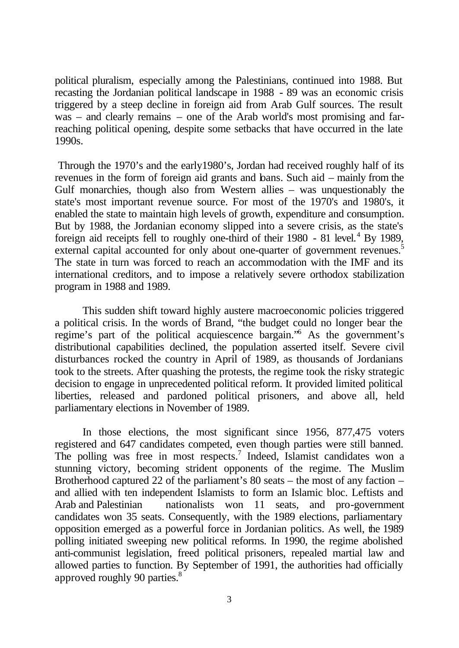political pluralism, especially among the Palestinians, continued into 1988. But recasting the Jordanian political landscape in 1988 - 89 was an economic crisis triggered by a steep decline in foreign aid from Arab Gulf sources. The result was – and clearly remains – one of the Arab world's most promising and farreaching political opening, despite some setbacks that have occurred in the late 1990s.

 Through the 1970's and the early1980's, Jordan had received roughly half of its revenues in the form of foreign aid grants and bans. Such aid – mainly from the Gulf monarchies, though also from Western allies – was unquestionably the state's most important revenue source. For most of the 1970's and 1980's, it enabled the state to maintain high levels of growth, expenditure and consumption. But by 1988, the Jordanian economy slipped into a severe crisis, as the state's foreign aid receipts fell to roughly one-third of their  $1980 - 81$  level.<sup>4</sup> By 1989, external capital accounted for only about one-quarter of government revenues.<sup>5</sup> The state in turn was forced to reach an accommodation with the IMF and its international creditors, and to impose a relatively severe orthodox stabilization program in 1988 and 1989.

This sudden shift toward highly austere macroeconomic policies triggered a political crisis. In the words of Brand, "the budget could no longer bear the regime's part of the political acquiescence bargain."<sup>6</sup> As the government's distributional capabilities declined, the population asserted itself. Severe civil disturbances rocked the country in April of 1989, as thousands of Jordanians took to the streets. After quashing the protests, the regime took the risky strategic decision to engage in unprecedented political reform. It provided limited political liberties, released and pardoned political prisoners, and above all, held parliamentary elections in November of 1989.

In those elections, the most significant since 1956, 877,475 voters registered and 647 candidates competed, even though parties were still banned. The polling was free in most respects.<sup>7</sup> Indeed, Islamist candidates won a stunning victory, becoming strident opponents of the regime. The Muslim Brotherhood captured 22 of the parliament's 80 seats – the most of any faction – and allied with ten independent Islamists to form an Islamic bloc. Leftists and Arab and Palestinian nationalists won 11 seats, and pro-government candidates won 35 seats. Consequently, with the 1989 elections, parliamentary opposition emerged as a powerful force in Jordanian politics. As well, the 1989 polling initiated sweeping new political reforms. In 1990, the regime abolished anti-communist legislation, freed political prisoners, repealed martial law and allowed parties to function. By September of 1991, the authorities had officially approved roughly 90 parties.<sup>8</sup>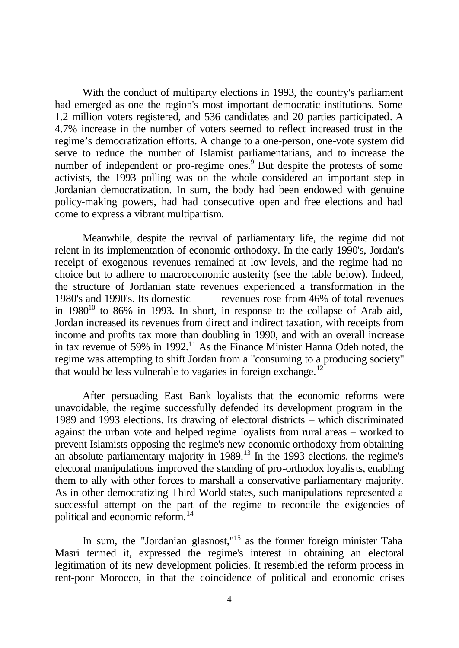With the conduct of multiparty elections in 1993, the country's parliament had emerged as one the region's most important democratic institutions. Some 1.2 million voters registered, and 536 candidates and 20 parties participated. A 4.7% increase in the number of voters seemed to reflect increased trust in the regime's democratization efforts. A change to a one-person, one-vote system did serve to reduce the number of Islamist parliamentarians, and to increase the number of independent or pro-regime ones.<sup>9</sup> But despite the protests of some activists, the 1993 polling was on the whole considered an important step in Jordanian democratization. In sum, the body had been endowed with genuine policy-making powers, had had consecutive open and free elections and had come to express a vibrant multipartism.

Meanwhile, despite the revival of parliamentary life, the regime did not relent in its implementation of economic orthodoxy. In the early 1990's, Jordan's receipt of exogenous revenues remained at low levels, and the regime had no choice but to adhere to macroeconomic austerity (see the table below). Indeed, the structure of Jordanian state revenues experienced a transformation in the 1980's and 1990's. Its domestic revenues rose from 46% of total revenues in  $1980^{10}$  to 86% in 1993. In short, in response to the collapse of Arab aid, Jordan increased its revenues from direct and indirect taxation, with receipts from income and profits tax more than doubling in 1990, and with an overall increase in tax revenue of 59% in 1992.<sup>11</sup> As the Finance Minister Hanna Odeh noted, the regime was attempting to shift Jordan from a "consuming to a producing society" that would be less vulnerable to vagaries in foreign exchange.<sup>12</sup>

After persuading East Bank loyalists that the economic reforms were unavoidable, the regime successfully defended its development program in the 1989 and 1993 elections. Its drawing of electoral districts – which discriminated against the urban vote and helped regime loyalists from rural areas – worked to prevent Islamists opposing the regime's new economic orthodoxy from obtaining an absolute parliamentary majority in 1989.<sup>13</sup> In the 1993 elections, the regime's electoral manipulations improved the standing of pro-orthodox loyalists, enabling them to ally with other forces to marshall a conservative parliamentary majority. As in other democratizing Third World states, such manipulations represented a successful attempt on the part of the regime to reconcile the exigencies of political and economic reform.<sup>14</sup>

In sum, the "Jordanian glasnost,"<sup>15</sup> as the former foreign minister Taha Masri termed it, expressed the regime's interest in obtaining an electoral legitimation of its new development policies. It resembled the reform process in rent-poor Morocco, in that the coincidence of political and economic crises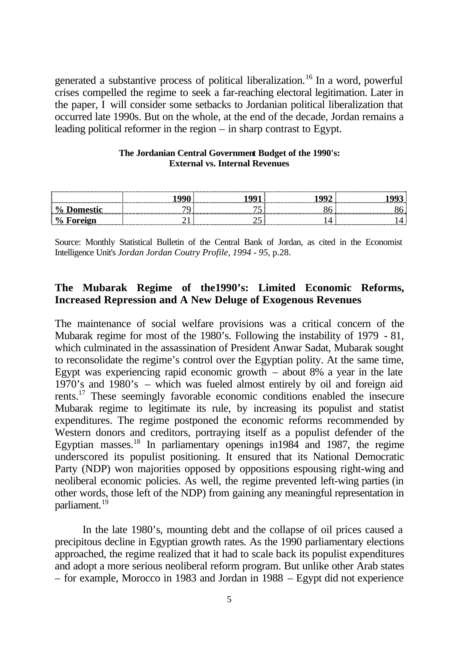generated a substantive process of political liberalization.<sup>16</sup> In a word, powerful crises compelled the regime to seek a far-reaching electoral legitimation. Later in the paper, I will consider some setbacks to Jordanian political liberalization that occurred late 1990s. But on the whole, at the end of the decade, Jordan remains a leading political reformer in the region – in sharp contrast to Egypt.

#### **The Jordanian Central Government Budget of the 1990's: External vs. Internal Revenues**

|              |            |       | <del></del> <del></del> |
|--------------|------------|-------|-------------------------|
| v.           |            |       |                         |
| $\mathbf{u}$ | .<br><br>. | <br>. |                         |

Source: Monthly Statistical Bulletin of the Central Bank of Jordan, as cited in the Economist Intelligence Unit's *Jordan Jordan Coutry Profile, 1994 - 95*, p.28.

# **The Mubarak Regime of the1990's: Limited Economic Reforms, Increased Repression and A New Deluge of Exogenous Revenues**

The maintenance of social welfare provisions was a critical concern of the Mubarak regime for most of the 1980's. Following the instability of 1979 - 81, which culminated in the assassination of President Anwar Sadat, Mubarak sought to reconsolidate the regime's control over the Egyptian polity. At the same time, Egypt was experiencing rapid economic growth  $-$  about 8% a year in the late 1970's and 1980's – which was fueled almost entirely by oil and foreign aid rents.<sup>17</sup> These seemingly favorable economic conditions enabled the insecure Mubarak regime to legitimate its rule, by increasing its populist and statist expenditures. The regime postponed the economic reforms recommended by Western donors and creditors, portraying itself as a populist defender of the Egyptian masses.<sup>18</sup> In parliamentary openings in1984 and 1987, the regime underscored its populist positioning. It ensured that its National Democratic Party (NDP) won majorities opposed by oppositions espousing right-wing and neoliberal economic policies. As well, the regime prevented left-wing parties (in other words, those left of the NDP) from gaining any meaningful representation in parliament.<sup>19</sup>

In the late 1980's, mounting debt and the collapse of oil prices caused a precipitous decline in Egyptian growth rates. As the 1990 parliamentary elections approached, the regime realized that it had to scale back its populist expenditures and adopt a more serious neoliberal reform program. But unlike other Arab states – for example, Morocco in 1983 and Jordan in 1988 – Egypt did not experience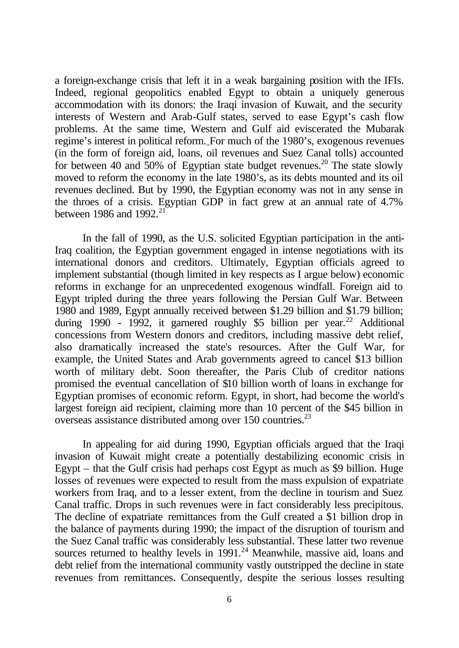a foreign-exchange crisis that left it in a weak bargaining position with the IFIs. Indeed, regional geopolitics enabled Egypt to obtain a uniquely generous accommodation with its donors: the Iraqi invasion of Kuwait, and the security interests of Western and Arab-Gulf states, served to ease Egypt's cash flow problems. At the same time, Western and Gulf aid eviscerated the Mubarak regime's interest in political reform. For much of the 1980's, exogenous revenues (in the form of foreign aid, loans, oil revenues and Suez Canal tolls) accounted for between 40 and 50% of Egyptian state budget revenues.<sup>20</sup> The state slowly moved to reform the economy in the late 1980's, as its debts mounted and its oil revenues declined. But by 1990, the Egyptian economy was not in any sense in the throes of a crisis. Egyptian GDP in fact grew at an annual rate of 4.7% between 1986 and 1992.<sup>21</sup>

In the fall of 1990, as the U.S. solicited Egyptian participation in the anti-Iraq coalition, the Egyptian government engaged in intense negotiations with its international donors and creditors. Ultimately, Egyptian officials agreed to implement substantial (though limited in key respects as I argue below) economic reforms in exchange for an unprecedented exogenous windfall. Foreign aid to Egypt tripled during the three years following the Persian Gulf War. Between 1980 and 1989, Egypt annually received between \$1.29 billion and \$1.79 billion; during 1990 - 1992, it garnered roughly \$5 billion per year.<sup>22</sup> Additional concessions from Western donors and creditors, including massive debt relief, also dramatically increased the state's resources. After the Gulf War, for example, the United States and Arab governments agreed to cancel \$13 billion worth of military debt. Soon thereafter, the Paris Club of creditor nations promised the eventual cancellation of \$10 billion worth of loans in exchange for Egyptian promises of economic reform. Egypt, in short, had become the world's largest foreign aid recipient, claiming more than 10 percent of the \$45 billion in overseas assistance distributed among over 150 countries.<sup>23</sup>

In appealing for aid during 1990, Egyptian officials argued that the Iraqi invasion of Kuwait might create a potentially destabilizing economic crisis in Egypt – that the Gulf crisis had perhaps cost Egypt as much as \$9 billion. Huge losses of revenues were expected to result from the mass expulsion of expatriate workers from Iraq, and to a lesser extent, from the decline in tourism and Suez Canal traffic. Drops in such revenues were in fact considerably less precipitous. The decline of expatriate remittances from the Gulf created a \$1 billion drop in the balance of payments during 1990; the impact of the disruption of tourism and the Suez Canal traffic was considerably less substantial. These latter two revenue sources returned to healthy levels in  $1991<sup>24</sup>$  Meanwhile, massive aid, loans and debt relief from the international community vastly outstripped the decline in state revenues from remittances. Consequently, despite the serious losses resulting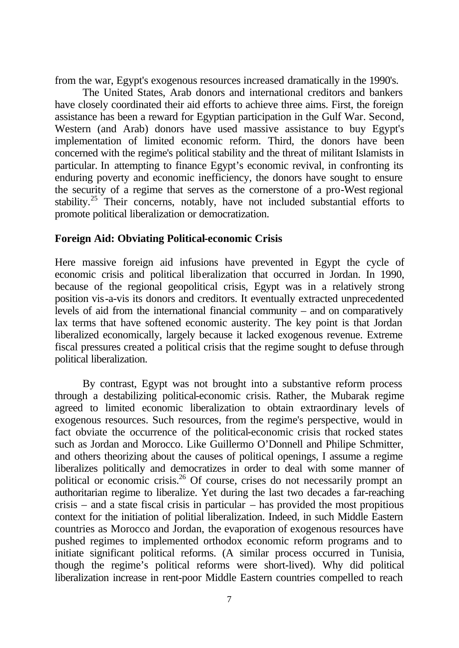from the war, Egypt's exogenous resources increased dramatically in the 1990's.

The United States, Arab donors and international creditors and bankers have closely coordinated their aid efforts to achieve three aims. First, the foreign assistance has been a reward for Egyptian participation in the Gulf War. Second, Western (and Arab) donors have used massive assistance to buy Egypt's implementation of limited economic reform. Third, the donors have been concerned with the regime's political stability and the threat of militant Islamists in particular. In attempting to finance Egypt's economic revival, in confronting its enduring poverty and economic inefficiency, the donors have sought to ensure the security of a regime that serves as the cornerstone of a pro-West regional stability.<sup>25</sup> Their concerns, notably, have not included substantial efforts to promote political liberalization or democratization.

# **Foreign Aid: Obviating Political-economic Crisis**

Here massive foreign aid infusions have prevented in Egypt the cycle of economic crisis and political liberalization that occurred in Jordan. In 1990, because of the regional geopolitical crisis, Egypt was in a relatively strong position vis-a-vis its donors and creditors. It eventually extracted unprecedented levels of aid from the international financial community – and on comparatively lax terms that have softened economic austerity. The key point is that Jordan liberalized economically, largely because it lacked exogenous revenue. Extreme fiscal pressures created a political crisis that the regime sought to defuse through political liberalization.

By contrast, Egypt was not brought into a substantive reform process through a destabilizing political-economic crisis. Rather, the Mubarak regime agreed to limited economic liberalization to obtain extraordinary levels of exogenous resources. Such resources, from the regime's perspective, would in fact obviate the occurrence of the political-economic crisis that rocked states such as Jordan and Morocco. Like Guillermo O'Donnell and Philipe Schmitter, and others theorizing about the causes of political openings, I assume a regime liberalizes politically and democratizes in order to deal with some manner of political or economic crisis.<sup>26</sup> Of course, crises do not necessarily prompt an authoritarian regime to liberalize. Yet during the last two decades a far-reaching crisis – and a state fiscal crisis in particular – has provided the most propitious context for the initiation of politial liberalization. Indeed, in such Middle Eastern countries as Morocco and Jordan, the evaporation of exogenous resources have pushed regimes to implemented orthodox economic reform programs and to initiate significant political reforms. (A similar process occurred in Tunisia, though the regime's political reforms were short-lived). Why did political liberalization increase in rent-poor Middle Eastern countries compelled to reach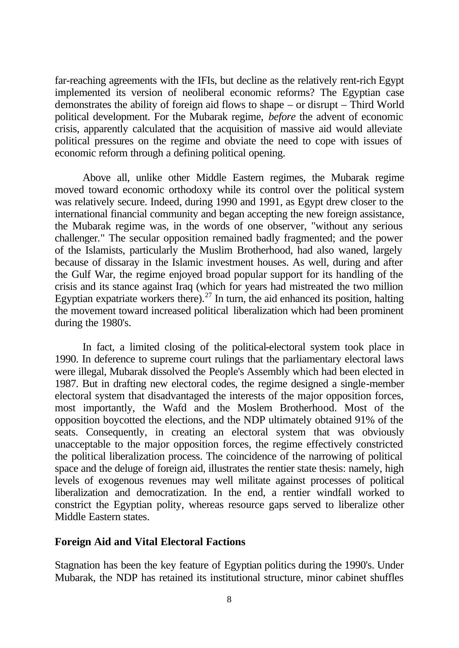far-reaching agreements with the IFIs, but decline as the relatively rent-rich Egypt implemented its version of neoliberal economic reforms? The Egyptian case demonstrates the ability of foreign aid flows to shape – or disrupt – Third World political development. For the Mubarak regime, *before* the advent of economic crisis, apparently calculated that the acquisition of massive aid would alleviate political pressures on the regime and obviate the need to cope with issues of economic reform through a defining political opening.

Above all, unlike other Middle Eastern regimes, the Mubarak regime moved toward economic orthodoxy while its control over the political system was relatively secure. Indeed, during 1990 and 1991, as Egypt drew closer to the international financial community and began accepting the new foreign assistance, the Mubarak regime was, in the words of one observer, "without any serious challenger." The secular opposition remained badly fragmented; and the power of the Islamists, particularly the Muslim Brotherhood, had also waned, largely because of dissaray in the Islamic investment houses. As well, during and after the Gulf War, the regime enjoyed broad popular support for its handling of the crisis and its stance against Iraq (which for years had mistreated the two million Egyptian expatriate workers there).<sup>27</sup> In turn, the aid enhanced its position, halting the movement toward increased political liberalization which had been prominent during the 1980's.

In fact, a limited closing of the political-electoral system took place in 1990. In deference to supreme court rulings that the parliamentary electoral laws were illegal, Mubarak dissolved the People's Assembly which had been elected in 1987. But in drafting new electoral codes, the regime designed a single-member electoral system that disadvantaged the interests of the major opposition forces, most importantly, the Wafd and the Moslem Brotherhood. Most of the opposition boycotted the elections, and the NDP ultimately obtained 91% of the seats. Consequently, in creating an electoral system that was obviously unacceptable to the major opposition forces, the regime effectively constricted the political liberalization process. The coincidence of the narrowing of political space and the deluge of foreign aid, illustrates the rentier state thesis: namely, high levels of exogenous revenues may well militate against processes of political liberalization and democratization. In the end, a rentier windfall worked to constrict the Egyptian polity, whereas resource gaps served to liberalize other Middle Eastern states.

# **Foreign Aid and Vital Electoral Factions**

Stagnation has been the key feature of Egyptian politics during the 1990's. Under Mubarak, the NDP has retained its institutional structure, minor cabinet shuffles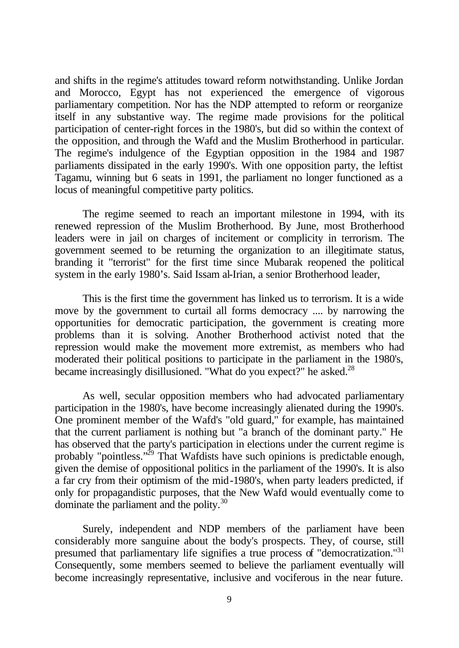and shifts in the regime's attitudes toward reform notwithstanding. Unlike Jordan and Morocco, Egypt has not experienced the emergence of vigorous parliamentary competition. Nor has the NDP attempted to reform or reorganize itself in any substantive way. The regime made provisions for the political participation of center-right forces in the 1980's, but did so within the context of the opposition, and through the Wafd and the Muslim Brotherhood in particular. The regime's indulgence of the Egyptian opposition in the 1984 and 1987 parliaments dissipated in the early 1990's. With one opposition party, the leftist Tagamu, winning but 6 seats in 1991, the parliament no longer functioned as a locus of meaningful competitive party politics.

The regime seemed to reach an important milestone in 1994, with its renewed repression of the Muslim Brotherhood. By June, most Brotherhood leaders were in jail on charges of incitement or complicity in terrorism. The government seemed to be returning the organization to an illegitimate status, branding it "terrorist" for the first time since Mubarak reopened the political system in the early 1980's. Said Issam al-Irian, a senior Brotherhood leader,

This is the first time the government has linked us to terrorism. It is a wide move by the government to curtail all forms democracy .... by narrowing the opportunities for democratic participation, the government is creating more problems than it is solving. Another Brotherhood activist noted that the repression would make the movement more extremist, as members who had moderated their political positions to participate in the parliament in the 1980's, became increasingly disillusioned. "What do you expect?" he asked.<sup>28</sup>

As well, secular opposition members who had advocated parliamentary participation in the 1980's, have become increasingly alienated during the 1990's. One prominent member of the Wafd's "old guard," for example, has maintained that the current parliament is nothing but "a branch of the dominant party." He has observed that the party's participation in elections under the current regime is probably "pointless."<sup>29</sup> That Wafdists have such opinions is predictable enough, given the demise of oppositional politics in the parliament of the 1990's. It is also a far cry from their optimism of the mid-1980's, when party leaders predicted, if only for propagandistic purposes, that the New Wafd would eventually come to dominate the parliament and the polity.<sup>30</sup>

Surely, independent and NDP members of the parliament have been considerably more sanguine about the body's prospects. They, of course, still presumed that parliamentary life signifies a true process of "democratization."<sup>31</sup> Consequently, some members seemed to believe the parliament eventually will become increasingly representative, inclusive and vociferous in the near future.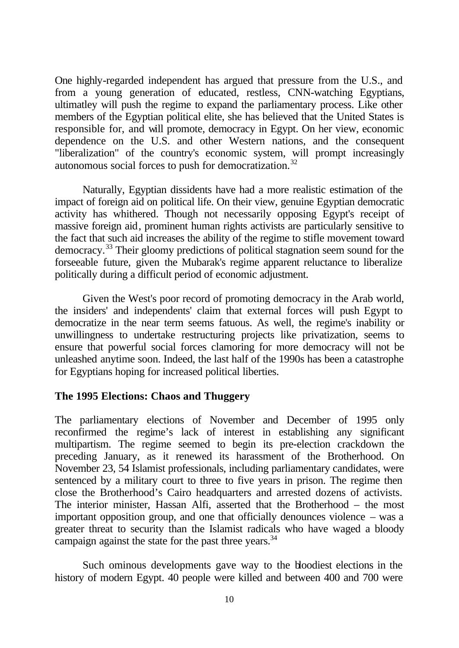One highly-regarded independent has argued that pressure from the U.S., and from a young generation of educated, restless, CNN-watching Egyptians, ultimatley will push the regime to expand the parliamentary process. Like other members of the Egyptian political elite, she has believed that the United States is responsible for, and will promote, democracy in Egypt. On her view, economic dependence on the U.S. and other Western nations, and the consequent "liberalization" of the country's economic system, will prompt increasingly autonomous social forces to push for democratization.<sup>32</sup>

Naturally, Egyptian dissidents have had a more realistic estimation of the impact of foreign aid on political life. On their view, genuine Egyptian democratic activity has whithered. Though not necessarily opposing Egypt's receipt of massive foreign aid, prominent human rights activists are particularly sensitive to the fact that such aid increases the ability of the regime to stifle movement toward democracy.<sup>33</sup> Their gloomy predictions of political stagnation seem sound for the forseeable future, given the Mubarak's regime apparent reluctance to liberalize politically during a difficult period of economic adjustment.

Given the West's poor record of promoting democracy in the Arab world, the insiders' and independents' claim that external forces will push Egypt to democratize in the near term seems fatuous. As well, the regime's inability or unwillingness to undertake restructuring projects like privatization, seems to ensure that powerful social forces clamoring for more democracy will not be unleashed anytime soon. Indeed, the last half of the 1990s has been a catastrophe for Egyptians hoping for increased political liberties.

# **The 1995 Elections: Chaos and Thuggery**

The parliamentary elections of November and December of 1995 only reconfirmed the regime's lack of interest in establishing any significant multipartism. The regime seemed to begin its pre-election crackdown the preceding January, as it renewed its harassment of the Brotherhood. On November 23, 54 Islamist professionals, including parliamentary candidates, were sentenced by a military court to three to five years in prison. The regime then close the Brotherhood's Cairo headquarters and arrested dozens of activists. The interior minister, Hassan Alfi, asserted that the Brotherhood – the most important opposition group, and one that officially denounces violence – was a greater threat to security than the Islamist radicals who have waged a bloody campaign against the state for the past three years.<sup>34</sup>

Such ominous developments gave way to the bloodiest elections in the history of modern Egypt. 40 people were killed and between 400 and 700 were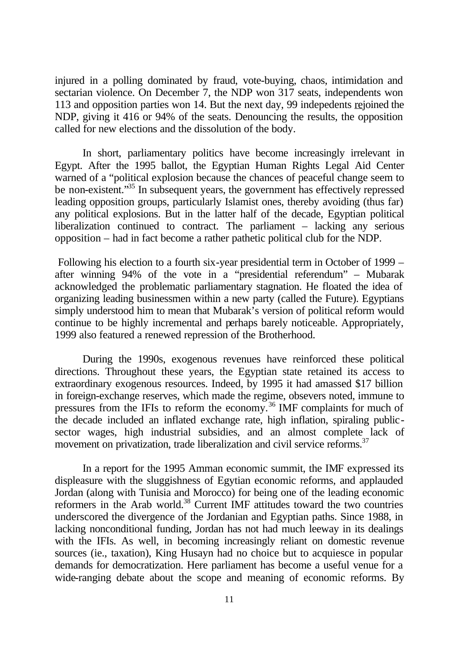injured in a polling dominated by fraud, vote-buying, chaos, intimidation and sectarian violence. On December 7, the NDP won 317 seats, independents won 113 and opposition parties won 14. But the next day, 99 indepedents rejoined the NDP, giving it 416 or 94% of the seats. Denouncing the results, the opposition called for new elections and the dissolution of the body.

In short, parliamentary politics have become increasingly irrelevant in Egypt. After the 1995 ballot, the Egyptian Human Rights Legal Aid Center warned of a "political explosion because the chances of peaceful change seem to be non-existent."<sup>35</sup> In subsequent years, the government has effectively repressed leading opposition groups, particularly Islamist ones, thereby avoiding (thus far) any political explosions. But in the latter half of the decade, Egyptian political liberalization continued to contract. The parliament – lacking any serious opposition – had in fact become a rather pathetic political club for the NDP.

 Following his election to a fourth six-year presidential term in October of 1999 – after winning 94% of the vote in a "presidential referendum" – Mubarak acknowledged the problematic parliamentary stagnation. He floated the idea of organizing leading businessmen within a new party (called the Future). Egyptians simply understood him to mean that Mubarak's version of political reform would continue to be highly incremental and perhaps barely noticeable. Appropriately, 1999 also featured a renewed repression of the Brotherhood.

During the 1990s, exogenous revenues have reinforced these political directions. Throughout these years, the Egyptian state retained its access to extraordinary exogenous resources. Indeed, by 1995 it had amassed \$17 billion in foreign-exchange reserves, which made the regime, obsevers noted, immune to pressures from the IFIs to reform the economy.<sup>36</sup> IMF complaints for much of the decade included an inflated exchange rate, high inflation, spiraling publicsector wages, high industrial subsidies, and an almost complete lack of movement on privatization, trade liberalization and civil service reforms.<sup>37</sup>

In a report for the 1995 Amman economic summit, the IMF expressed its displeasure with the sluggishness of Egytian economic reforms, and applauded Jordan (along with Tunisia and Morocco) for being one of the leading economic reformers in the Arab world.<sup>38</sup> Current IMF attitudes toward the two countries underscored the divergence of the Jordanian and Egyptian paths. Since 1988, in lacking nonconditional funding, Jordan has not had much leeway in its dealings with the IFIs. As well, in becoming increasingly reliant on domestic revenue sources (ie., taxation), King Husayn had no choice but to acquiesce in popular demands for democratization. Here parliament has become a useful venue for a wide-ranging debate about the scope and meaning of economic reforms. By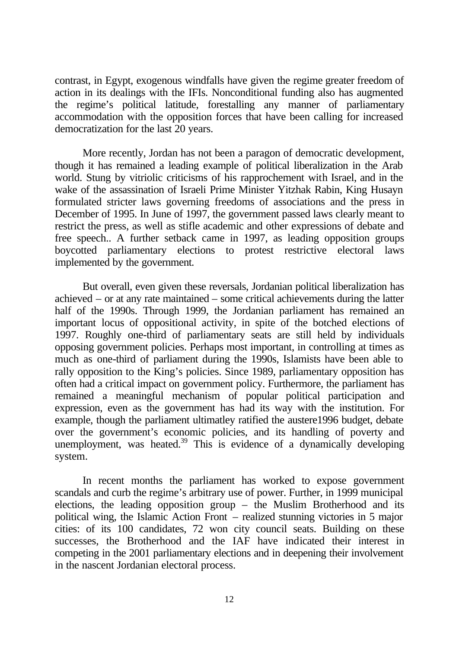contrast, in Egypt, exogenous windfalls have given the regime greater freedom of action in its dealings with the IFIs. Nonconditional funding also has augmented the regime's political latitude, forestalling any manner of parliamentary accommodation with the opposition forces that have been calling for increased democratization for the last 20 years.

More recently, Jordan has not been a paragon of democratic development, though it has remained a leading example of political liberalization in the Arab world. Stung by vitriolic criticisms of his rapprochement with Israel, and in the wake of the assassination of Israeli Prime Minister Yitzhak Rabin, King Husayn formulated stricter laws governing freedoms of associations and the press in December of 1995. In June of 1997, the government passed laws clearly meant to restrict the press, as well as stifle academic and other expressions of debate and free speech.. A further setback came in 1997, as leading opposition groups boycotted parliamentary elections to protest restrictive electoral laws implemented by the government.

But overall, even given these reversals, Jordanian political liberalization has achieved – or at any rate maintained – some critical achievements during the latter half of the 1990s. Through 1999, the Jordanian parliament has remained an important locus of oppositional activity, in spite of the botched elections of 1997. Roughly one-third of parliamentary seats are still held by individuals opposing government policies. Perhaps most important, in controlling at times as much as one-third of parliament during the 1990s, Islamists have been able to rally opposition to the King's policies. Since 1989, parliamentary opposition has often had a critical impact on government policy. Furthermore, the parliament has remained a meaningful mechanism of popular political participation and expression, even as the government has had its way with the institution. For example, though the parliament ultimatley ratified the austere1996 budget, debate over the government's economic policies, and its handling of poverty and unemployment, was heated.<sup>39</sup> This is evidence of a dynamically developing system.

In recent months the parliament has worked to expose government scandals and curb the regime's arbitrary use of power. Further, in 1999 municipal elections, the leading opposition group – the Muslim Brotherhood and its political wing, the Islamic Action Front – realized stunning victories in 5 major cities: of its 100 candidates, 72 won city council seats. Building on these successes, the Brotherhood and the IAF have indicated their interest in competing in the 2001 parliamentary elections and in deepening their involvement in the nascent Jordanian electoral process.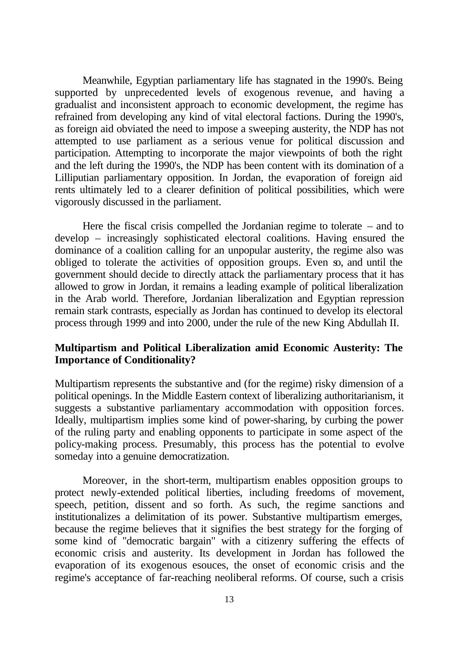Meanwhile, Egyptian parliamentary life has stagnated in the 1990's. Being supported by unprecedented levels of exogenous revenue, and having a gradualist and inconsistent approach to economic development, the regime has refrained from developing any kind of vital electoral factions. During the 1990's, as foreign aid obviated the need to impose a sweeping austerity, the NDP has not attempted to use parliament as a serious venue for political discussion and participation. Attempting to incorporate the major viewpoints of both the right and the left during the 1990's, the NDP has been content with its domination of a Lilliputian parliamentary opposition. In Jordan, the evaporation of foreign aid rents ultimately led to a clearer definition of political possibilities, which were vigorously discussed in the parliament.

Here the fiscal crisis compelled the Jordanian regime to tolerate – and to develop – increasingly sophisticated electoral coalitions. Having ensured the dominance of a coalition calling for an unpopular austerity, the regime also was obliged to tolerate the activities of opposition groups. Even so, and until the government should decide to directly attack the parliamentary process that it has allowed to grow in Jordan, it remains a leading example of political liberalization in the Arab world. Therefore, Jordanian liberalization and Egyptian repression remain stark contrasts, especially as Jordan has continued to develop its electoral process through 1999 and into 2000, under the rule of the new King Abdullah II.

# **Multipartism and Political Liberalization amid Economic Austerity: The Importance of Conditionality?**

Multipartism represents the substantive and (for the regime) risky dimension of a political openings. In the Middle Eastern context of liberalizing authoritarianism, it suggests a substantive parliamentary accommodation with opposition forces. Ideally, multipartism implies some kind of power-sharing, by curbing the power of the ruling party and enabling opponents to participate in some aspect of the policy-making process. Presumably, this process has the potential to evolve someday into a genuine democratization.

Moreover, in the short-term, multipartism enables opposition groups to protect newly-extended political liberties, including freedoms of movement, speech, petition, dissent and so forth. As such, the regime sanctions and institutionalizes a delimitation of its power. Substantive multipartism emerges, because the regime believes that it signifies the best strategy for the forging of some kind of "democratic bargain" with a citizenry suffering the effects of economic crisis and austerity. Its development in Jordan has followed the evaporation of its exogenous esouces, the onset of economic crisis and the regime's acceptance of far-reaching neoliberal reforms. Of course, such a crisis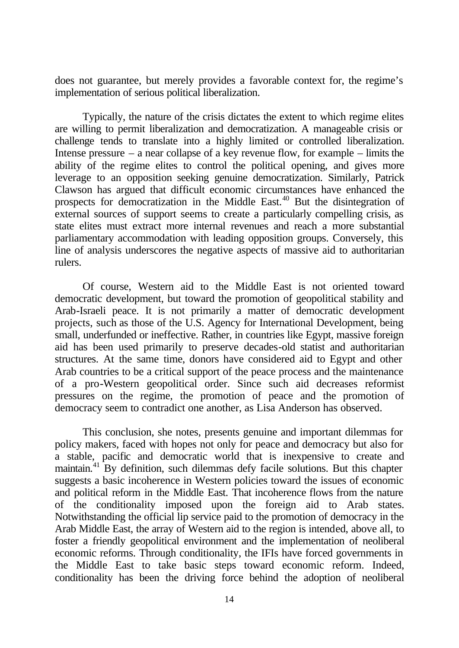does not guarantee, but merely provides a favorable context for, the regime's implementation of serious political liberalization.

Typically, the nature of the crisis dictates the extent to which regime elites are willing to permit liberalization and democratization. A manageable crisis or challenge tends to translate into a highly limited or controlled liberalization. Intense pressure – a near collapse of a key revenue flow, for example – limits the ability of the regime elites to control the political opening, and gives more leverage to an opposition seeking genuine democratization. Similarly, Patrick Clawson has argued that difficult economic circumstances have enhanced the prospects for democratization in the Middle East.<sup>40</sup> But the disintegration of external sources of support seems to create a particularly compelling crisis, as state elites must extract more internal revenues and reach a more substantial parliamentary accommodation with leading opposition groups. Conversely, this line of analysis underscores the negative aspects of massive aid to authoritarian rulers.

Of course, Western aid to the Middle East is not oriented toward democratic development, but toward the promotion of geopolitical stability and Arab-Israeli peace. It is not primarily a matter of democratic development projects, such as those of the U.S. Agency for International Development, being small, underfunded or ineffective. Rather, in countries like Egypt, massive foreign aid has been used primarily to preserve decades-old statist and authoritarian structures. At the same time, donors have considered aid to Egypt and other Arab countries to be a critical support of the peace process and the maintenance of a pro-Western geopolitical order. Since such aid decreases reformist pressures on the regime, the promotion of peace and the promotion of democracy seem to contradict one another, as Lisa Anderson has observed.

This conclusion, she notes, presents genuine and important dilemmas for policy makers, faced with hopes not only for peace and democracy but also for a stable, pacific and democratic world that is inexpensive to create and maintain.<sup>41</sup> By definition, such dilemmas defy facile solutions. But this chapter suggests a basic incoherence in Western policies toward the issues of economic and political reform in the Middle East. That incoherence flows from the nature of the conditionality imposed upon the foreign aid to Arab states. Notwithstanding the official lip service paid to the promotion of democracy in the Arab Middle East, the array of Western aid to the region is intended, above all, to foster a friendly geopolitical environment and the implementation of neoliberal economic reforms. Through conditionality, the IFIs have forced governments in the Middle East to take basic steps toward economic reform. Indeed, conditionality has been the driving force behind the adoption of neoliberal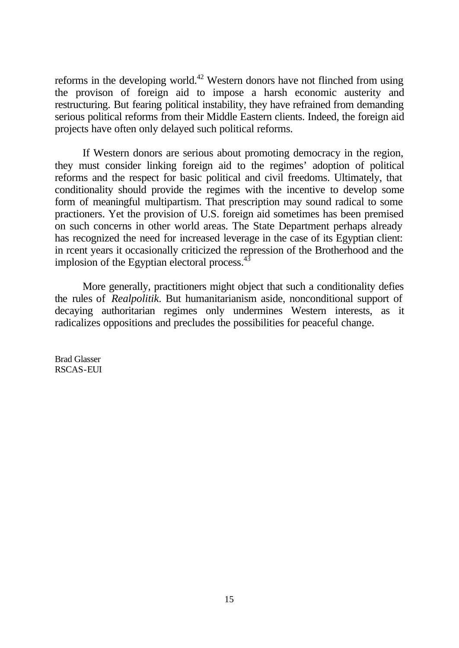reforms in the developing world.<sup>42</sup> Western donors have not flinched from using the provison of foreign aid to impose a harsh economic austerity and restructuring. But fearing political instability, they have refrained from demanding serious political reforms from their Middle Eastern clients. Indeed, the foreign aid projects have often only delayed such political reforms.

If Western donors are serious about promoting democracy in the region, they must consider linking foreign aid to the regimes' adoption of political reforms and the respect for basic political and civil freedoms. Ultimately, that conditionality should provide the regimes with the incentive to develop some form of meaningful multipartism. That prescription may sound radical to some practioners. Yet the provision of U.S. foreign aid sometimes has been premised on such concerns in other world areas. The State Department perhaps already has recognized the need for increased leverage in the case of its Egyptian client: in rcent years it occasionally criticized the repression of the Brotherhood and the implosion of the Egyptian electoral process.<sup>43</sup>

More generally, practitioners might object that such a conditionality defies the rules of *Realpolitik*. But humanitarianism aside, nonconditional support of decaying authoritarian regimes only undermines Western interests, as it radicalizes oppositions and precludes the possibilities for peaceful change.

Brad Glasser RSCAS-EUI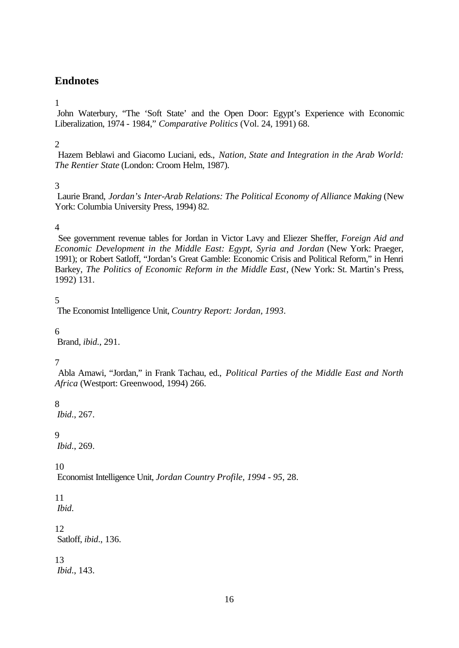# **Endnotes**

#### 1

 John Waterbury, "The 'Soft State' and the Open Door: Egypt's Experience with Economic Liberalization, 1974 - 1984," *Comparative Politics* (Vol. 24, 1991) 68.

# 2

 Hazem Beblawi and Giacomo Luciani, eds., *Nation, State and Integration in the Arab World: The Rentier State* (London: Croom Helm, 1987).

#### 3

 Laurie Brand, *Jordan's Inter-Arab Relations: The Political Economy of Alliance Making* (New York: Columbia University Press, 1994) 82.

#### 4

 See government revenue tables for Jordan in Victor Lavy and Eliezer Sheffer, *Foreign Aid and Economic Development in the Middle East: Egypt, Syria and Jordan* (New York: Praeger, 1991); or Robert Satloff, "Jordan's Great Gamble: Economic Crisis and Political Reform," in Henri Barkey, *The Politics of Economic Reform in the Middle East*, (New York: St. Martin's Press, 1992) 131.

#### 5

The Economist Intelligence Unit, *Country Report: Jordan, 1993*.

#### 6

Brand, *ibid*., 291.

# 7

 Abla Amawi, "Jordan," in Frank Tachau, ed., *Political Parties of the Middle East and North Africa* (Westport: Greenwood, 1994) 266.

# 8

*Ibid*., 267.

# 9

*Ibid*., 269.

10

Economist Intelligence Unit, *Jordan Country Profile, 1994 - 95*, 28.

#### 11 *Ibid*.

12 Satloff, *ibid*., 136.

#### 13 *Ibid*., 143.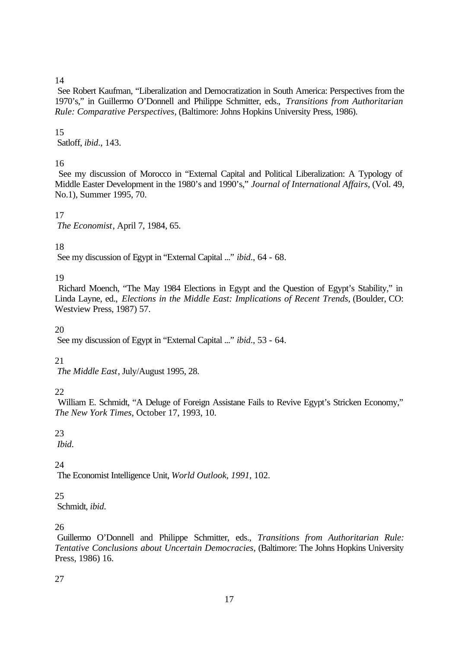# 14

 See Robert Kaufman, "Liberalization and Democratization in South America: Perspectives from the 1970's," in Guillermo O'Donnell and Philippe Schmitter, eds., *Transitions from Authoritarian Rule: Comparative Perspectives*, (Baltimore: Johns Hopkins University Press, 1986).

# 15

Satloff, *ibid*., 143.

# 16

 See my discussion of Morocco in "External Capital and Political Liberalization: A Typology of Middle Easter Development in the 1980's and 1990's," *Journal of International Affairs*, (Vol. 49, No.1), Summer 1995, 70.

17  *The Economist*, April 7, 1984, 65.

# 18

See my discussion of Egypt in "External Capital ..." *ibid*., 64 - 68.

# 19

 Richard Moench, "The May 1984 Elections in Egypt and the Question of Egypt's Stability," in Linda Layne, ed., *Elections in the Middle East: Implications of Recent Trends*, (Boulder, CO: Westview Press, 1987) 57.

#### 20

See my discussion of Egypt in "External Capital ..." *ibid*., 53 - 64.

# 21

*The Middle East*, July/August 1995, 28.

# 22

 William E. Schmidt, "A Deluge of Foreign Assistane Fails to Revive Egypt's Stricken Economy," *The New York Times*, October 17, 1993, 10.

# 23

*Ibid*.

# 24

The Economist Intelligence Unit, *World Outlook, 1991*, 102.

# 25

Schmidt, *ibid*.

# 26

 Guillermo O'Donnell and Philippe Schmitter, eds., *Transitions from Authoritarian Rule: Tentative Conclusions about Uncertain Democracies*, (Baltimore: The Johns Hopkins University Press, 1986) 16.

# 27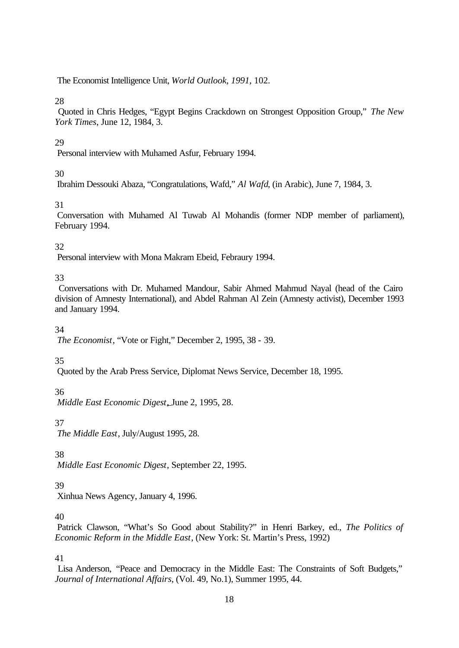The Economist Intelligence Unit, *World Outlook, 1991*, 102.

# 28

 Quoted in Chris Hedges, "Egypt Begins Crackdown on Strongest Opposition Group," *The New York Times*, June 12, 1984, 3.

# 29

Personal interview with Muhamed Asfur, February 1994.

# 30

Ibrahim Dessouki Abaza, "Congratulations, Wafd," *Al Wafd*, (in Arabic), June 7, 1984, 3.

# 31

 Conversation with Muhamed Al Tuwab Al Mohandis (former NDP member of parliament), February 1994.

# 32

Personal interview with Mona Makram Ebeid, Febraury 1994.

# 33

 Conversations with Dr. Muhamed Mandour, Sabir Ahmed Mahmud Nayal (head of the Cairo division of Amnesty International), and Abdel Rahman Al Zein (Amnesty activist), December 1993 and January 1994.

# 34

*The Economist*, "Vote or Fight," December 2, 1995, 38 - 39.

# 35

Quoted by the Arab Press Service, Diplomat News Service, December 18, 1995.

# 36

*Middle East Economic Digest*, June 2, 1995, 28.

# 37

*The Middle East*, July/August 1995, 28.

# 38

*Middle East Economic Digest*, September 22, 1995.

# 39

Xinhua News Agency, January 4, 1996.

# 40

 Patrick Clawson, "What's So Good about Stability?" in Henri Barkey, ed., *The Politics of Economic Reform in the Middle East*, (New York: St. Martin's Press, 1992)

# 41

 Lisa Anderson, "Peace and Democracy in the Middle East: The Constraints of Soft Budgets," *Journal of International Affairs*, (Vol. 49, No.1), Summer 1995, 44.